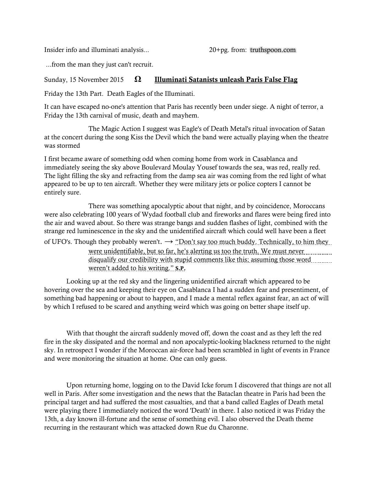Insider info and illuminati analysis... 20+pg. from: truthspoon.com

...from the man they just can't recruit.

Sunday, 15 November 2015 **Ω Illuminati Satanists unleash Paris False Flag**

Friday the 13th Part. Death Eagles of the Illuminati.

It can have escaped no-one's attention that Paris has recently been under siege. A night of terror, a Friday the 13th carnival of music, death and mayhem.

The Magic Action I suggest was Eagle's of Death Metal's ritual invocation of Satan at the concert during the song Kiss the Devil which the band were actually playing when the theatre was stormed

I first became aware of something odd when coming home from work in Casablanca and immediately seeing the sky above Boulevard Moulay Yousef towards the sea, was red, really red. The light filling the sky and refracting from the damp sea air was coming from the red light of what appeared to be up to ten aircraft. Whether they were military jets or police copters I cannot be entirely sure.

There was something apocalyptic about that night, and by coincidence, Moroccans were also celebrating 100 years of Wydad football club and fireworks and flares were being fired into the air and waved about. So there was strange bangs and sudden flashes of light, combined with the strange red luminescence in the sky and the unidentified aircraft which could well have been a fleet

of UFO's. Though they probably weren't.  $\rightarrow$  "Don't say too much buddy. Technically, to him they were unidentifiable, but so far, he's alerting us too the truth. We must never disqualify our credibility with stupid comments like this; assuming those word weren't added to his writing." **S.P.**

Looking up at the red sky and the lingering unidentified aircraft which appeared to be hovering over the sea and keeping their eye on Casablanca I had a sudden fear and presentiment, of something bad happening or about to happen, and I made a mental reflex against fear, an act of will by which I refused to be scared and anything weird which was going on better shape itself up.

With that thought the aircraft suddenly moved off, down the coast and as they left the red fire in the sky dissipated and the normal and non apocalyptic-looking blackness returned to the night sky. In retrospect I wonder if the Moroccan air-force had been scrambled in light of events in France and were monitoring the situation at home. One can only guess.

Upon returning home, logging on to the David Icke forum I discovered that things are not all well in Paris. After some investigation and the news that the Bataclan theatre in Paris had been the principal target and had suffered the most casualties, and that a band called Eagles of Death metal were playing there I immediately noticed the word 'Death' in there. I also noticed it was Friday the 13th, a day known ill-fortune and the sense of something evil. I also observed the Death theme recurring in the restaurant which was attacked down Rue du Charonne.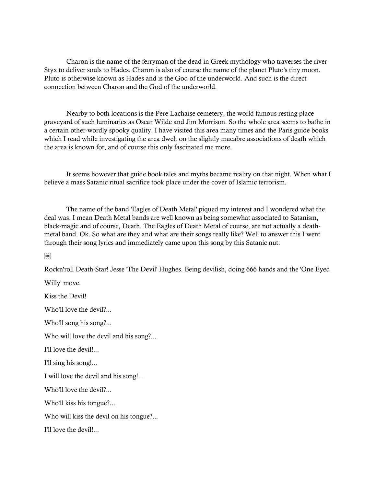Charon is the name of the ferryman of the dead in Greek mythology who traverses the river Styx to deliver souls to Hades. Charon is also of course the name of the planet Pluto's tiny moon. Pluto is otherwise known as Hades and is the God of the underworld. And such is the direct connection between Charon and the God of the underworld.

Nearby to both locations is the Pere Lachaise cemetery, the world famous resting place graveyard of such luminaries as Oscar Wilde and Jim Morrison. So the whole area seems to bathe in a certain other-wordly spooky quality. I have visited this area many times and the Paris guide books which I read while investigating the area dwelt on the slightly macabre associations of death which the area is known for, and of course this only fascinated me more.

It seems however that guide book tales and myths became reality on that night. When what I believe a mass Satanic ritual sacrifice took place under the cover of Islamic terrorism.

The name of the band 'Eagles of Death Metal' piqued my interest and I wondered what the deal was. I mean Death Metal bands are well known as being somewhat associated to Satanism, black-magic and of course, Death. The Eagles of Death Metal of course, are not actually a deathmetal band. Ok. So what are they and what are their songs really like? Well to answer this I went through their song lyrics and immediately came upon this song by this Satanic nut:

OBJ

Rockn'roll Death-Star! Jesse 'The Devil' Hughes. Being devilish, doing 666 hands and the 'One Eyed

Willy' move.

Kiss the Devil!

Who'll love the devil?...

Who'll song his song?...

Who will love the devil and his song?...

I'll love the devil!...

I'll sing his song!...

I will love the devil and his song!...

Who'll love the devil?...

Who'll kiss his tongue?...

Who will kiss the devil on his tongue?...

I'll love the devil!...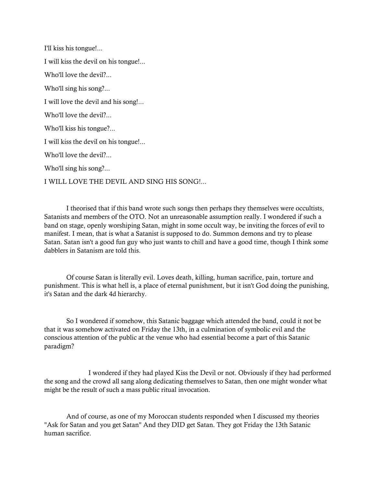I'll kiss his tongue!... I will kiss the devil on his tongue!... Who'll love the devil?... Who'll sing his song?... I will love the devil and his song!... Who'll love the devil?... Who'll kiss his tongue?... I will kiss the devil on his tongue!... Who'll love the devil?... Who'll sing his song?... I WILL LOVE THE DEVIL AND SING HIS SONG!...

I theorised that if this band wrote such songs then perhaps they themselves were occultists, Satanists and members of the OTO. Not an unreasonable assumption really. I wondered if such a band on stage, openly worshiping Satan, might in some occult way, be inviting the forces of evil to manifest. I mean, that is what a Satanist is supposed to do. Summon demons and try to please Satan. Satan isn't a good fun guy who just wants to chill and have a good time, though I think some dabblers in Satanism are told this.

Of course Satan is literally evil. Loves death, killing, human sacrifice, pain, torture and punishment. This is what hell is, a place of eternal punishment, but it isn't God doing the punishing, it's Satan and the dark 4d hierarchy.

So I wondered if somehow, this Satanic baggage which attended the band, could it not be that it was somehow activated on Friday the 13th, in a culmination of symbolic evil and the conscious attention of the public at the venue who had essential become a part of this Satanic paradigm?

I wondered if they had played Kiss the Devil or not. Obviously if they had performed the song and the crowd all sang along dedicating themselves to Satan, then one might wonder what might be the result of such a mass public ritual invocation.

And of course, as one of my Moroccan students responded when I discussed my theories "Ask for Satan and you get Satan" And they DID get Satan. They got Friday the 13th Satanic human sacrifice.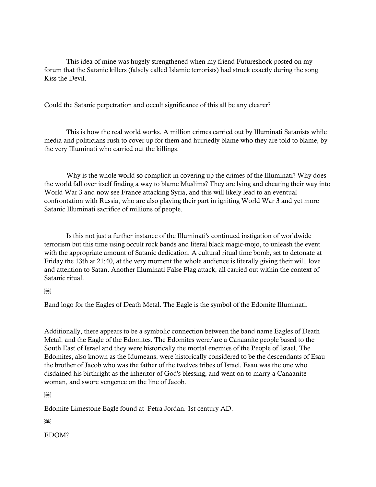This idea of mine was hugely strengthened when my friend Futureshock posted on my forum that the Satanic killers (falsely called Islamic terrorists) had struck exactly during the song Kiss the Devil.

Could the Satanic perpetration and occult significance of this all be any clearer?

This is how the real world works. A million crimes carried out by Illuminati Satanists while media and politicians rush to cover up for them and hurriedly blame who they are told to blame, by the very Illuminati who carried out the killings.

Why is the whole world so complicit in covering up the crimes of the Illuminati? Why does the world fall over itself finding a way to blame Muslims? They are lying and cheating their way into World War 3 and now see France attacking Syria, and this will likely lead to an eventual confrontation with Russia, who are also playing their part in igniting World War 3 and yet more Satanic Illuminati sacrifice of millions of people.

Is this not just a further instance of the Illuminati's continued instigation of worldwide terrorism but this time using occult rock bands and literal black magic-mojo, to unleash the event with the appropriate amount of Satanic dedication. A cultural ritual time bomb, set to detonate at Friday the 13th at 21:40, at the very moment the whole audience is literally giving their will. love and attention to Satan. Another Illuminati False Flag attack, all carried out within the context of Satanic ritual.

#### $[OB]$

Band logo for the Eagles of Death Metal. The Eagle is the symbol of the Edomite Illuminati.

Additionally, there appears to be a symbolic connection between the band name Eagles of Death Metal, and the Eagle of the Edomites. The Edomites were/are a Canaanite people based to the South East of Israel and they were historically the mortal enemies of the People of Israel. The Edomites, also known as the Idumeans, were historically considered to be the descendants of Esau the brother of Jacob who was the father of the twelves tribes of Israel. Esau was the one who disdained his birthright as the inheritor of God's blessing, and went on to marry a Canaanite woman, and swore vengence on the line of Jacob.

 $OBD$ 

Edomite Limestone Eagle found at Petra Jordan. 1st century AD.

 $[OB]$ 

EDOM?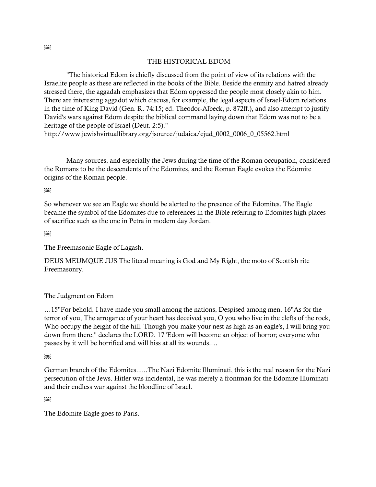#### THE HISTORICAL EDOM

"The historical Edom is chiefly discussed from the point of view of its relations with the Israelite people as these are reflected in the books of the Bible. Beside the enmity and hatred already stressed there, the aggadah emphasizes that Edom oppressed the people most closely akin to him. There are interesting aggadot which discuss, for example, the legal aspects of Israel-Edom relations in the time of King David (Gen. R. 74:15; ed. Theodor-Albeck, p. 872ff.), and also attempt to justify David's wars against Edom despite the biblical command laying down that Edom was not to be a heritage of the people of Israel (Deut. 2:5)."

http://www.jewishvirtuallibrary.org/jsource/judaica/ejud\_0002\_0006\_0\_05562.html

Many sources, and especially the Jews during the time of the Roman occupation, considered the Romans to be the descendents of the Edomites, and the Roman Eagle evokes the Edomite origins of the Roman people.

 $OBD$ 

So whenever we see an Eagle we should be alerted to the presence of the Edomites. The Eagle became the symbol of the Edomites due to references in the Bible referring to Edomites high places of sacrifice such as the one in Petra in modern day Jordan.

 $OBD$ 

The Freemasonic Eagle of Lagash.

DEUS MEUMQUE JUS The literal meaning is God and My Right, the moto of Scottish rite Freemasonry.

#### The Judgment on Edom

…15"For behold, I have made you small among the nations, Despised among men. 16"As for the terror of you, The arrogance of your heart has deceived you, O you who live in the clefts of the rock, Who occupy the height of the hill. Though you make your nest as high as an eagle's, I will bring you down from there," declares the LORD. 17"Edom will become an object of horror; everyone who passes by it will be horrified and will hiss at all its wounds.…

 $OBD$ 

German branch of the Edomites......The Nazi Edomite Illuminati, this is the real reason for the Nazi persecution of the Jews. Hitler was incidental, he was merely a frontman for the Edomite Illuminati and their endless war against the bloodline of Israel.

 $[OB]$ 

The Edomite Eagle goes to Paris.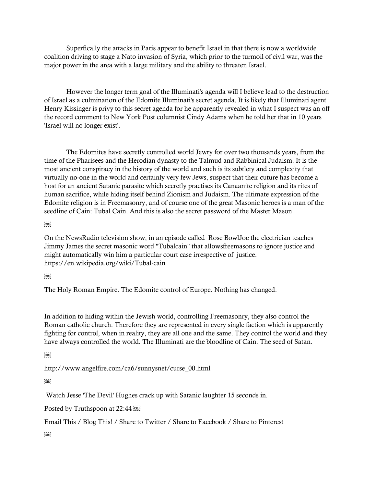Superfically the attacks in Paris appear to benefit Israel in that there is now a worldwide coalition driving to stage a Nato invasion of Syria, which prior to the turmoil of civil war, was the major power in the area with a large military and the ability to threaten Israel.

However the longer term goal of the Illuminati's agenda will I believe lead to the destruction of Israel as a culmination of the Edomite Illuminati's secret agenda. It is likely that Illuminati agent Henry Kissinger is privy to this secret agenda for he apparently revealed in what I suspect was an off the record comment to New York Post columnist Cindy Adams when he told her that in 10 years 'Israel will no longer exist'.

The Edomites have secretly controlled world Jewry for over two thousands years, from the time of the Pharisees and the Herodian dynasty to the Talmud and Rabbinical Judaism. It is the most ancient conspiracy in the history of the world and such is its subtlety and complexity that virtually no-one in the world and certainly very few Jews, suspect that their cuture has become a host for an ancient Satanic parasite which secretly practises its Canaanite religion and its rites of human sacrifice, while hiding itself behind Zionism and Judaism. The ultimate expression of the Edomite religion is in Freemasonry, and of course one of the great Masonic heroes is a man of the seedline of Cain: Tubal Cain. And this is also the secret password of the Master Mason.

 $OBD$ 

On the NewsRadio television show, in an episode called Rose BowlJoe the electrician teaches Jimmy James the secret masonic word "Tubalcain" that allowsfreemasons to ignore justice and might automatically win him a particular court case irrespective of justice. https://en.wikipedia.org/wiki/Tubal-cain

#### $OBJ$

The Holy Roman Empire. The Edomite control of Europe. Nothing has changed.

In addition to hiding within the Jewish world, controlling Freemasonry, they also control the Roman catholic church. Therefore they are represented in every single faction which is apparently fighting for control, when in reality, they are all one and the same. They control the world and they have always controlled the world. The Illuminati are the bloodline of Cain. The seed of Satan.

 $[OB]$ 

http://www.angelfire.com/ca6/sunnysnet/curse\_00.html

 $OBD$ 

Watch Jesse 'The Devil' Hughes crack up with Satanic laughter 15 seconds in.

Posted by Truthspoon at 22:44 [68]

Email This / Blog This! / Share to Twitter / Share to Facebook / Share to Pinterest

 $[OB]$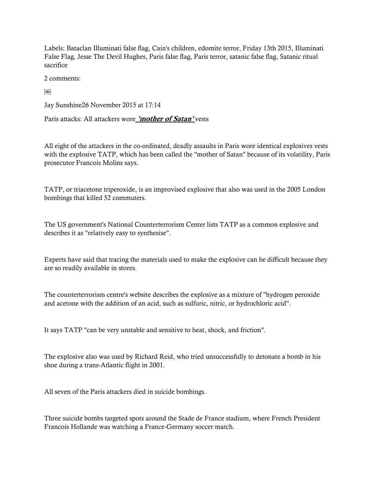Labels: Bataclan Illuminati false flag, Cain's children, edomite terror, Friday 13th 2015, Illuminati False Flag, Jesse The Devil Hughes, Paris false flag, Paris terror, satanic false flag, Satanic ritual sacrifice

2 comments:

 $OBD$ 

Jay Sunshine26 November 2015 at 17:14

Paris attacks: All attackers wore **'mother of Satan'** vests

All eight of the attackers in the co-ordinated, deadly assaults in Paris wore identical explosives vests with the explosive TATP, which has been called the "mother of Satan" because of its volatility, Paris prosecutor Francois Molins says.

TATP, or triacetone triperoxide, is an improvised explosive that also was used in the 2005 London bombings that killed 52 commuters.

The US government's National Counterterrorism Center lists TATP as a common explosive and describes it as "relatively easy to synthesise".

Experts have said that tracing the materials used to make the explosive can be difficult because they are so readily available in stores.

The counterterrorism centre's website describes the explosive as a mixture of "hydrogen peroxide and acetone with the addition of an acid, such as sulfuric, nitric, or hydrochloric acid".

It says TATP "can be very unstable and sensitive to heat, shock, and friction".

The explosive also was used by Richard Reid, who tried unsuccessfully to detonate a bomb in his shoe during a trans-Atlantic flight in 2001.

All seven of the Paris attackers died in suicide bombings.

Three suicide bombs targeted spots around the Stade de France stadium, where French President Francois Hollande was watching a France-Germany soccer match.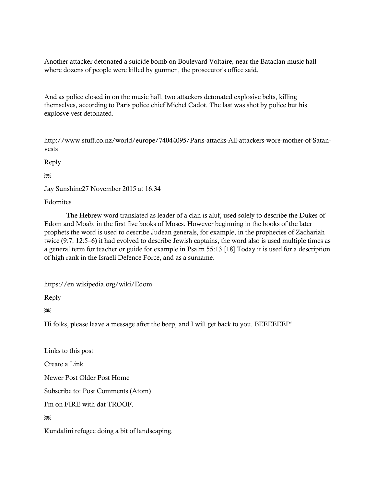Another attacker detonated a suicide bomb on Boulevard Voltaire, near the Bataclan music hall where dozens of people were killed by gunmen, the prosecutor's office said.

And as police closed in on the music hall, two attackers detonated explosive belts, killing themselves, according to Paris police chief Michel Cadot. The last was shot by police but his explosve vest detonated.

http://www.stuff.co.nz/world/europe/74044095/Paris-attacks-All-attackers-wore-mother-of-Satanvests

Reply

 $[OB]$ 

Jay Sunshine27 November 2015 at 16:34

Edomites

The Hebrew word translated as leader of a clan is aluf, used solely to describe the Dukes of Edom and Moab, in the first five books of Moses. However beginning in the books of the later prophets the word is used to describe Judean generals, for example, in the prophecies of Zachariah twice (9:7, 12:5–6) it had evolved to describe Jewish captains, the word also is used multiple times as a general term for teacher or guide for example in Psalm 55:13.[18] Today it is used for a description of high rank in the Israeli Defence Force, and as a surname.

https://en.wikipedia.org/wiki/Edom

Reply

 $[OB]$ 

Hi folks, please leave a message after the beep, and I will get back to you. BEEEEEEP!

Links to this post

Create a Link

Newer Post Older Post Home

Subscribe to: Post Comments (Atom)

I'm on FIRE with dat TROOF.

 $OBD$ 

Kundalini refugee doing a bit of landscaping.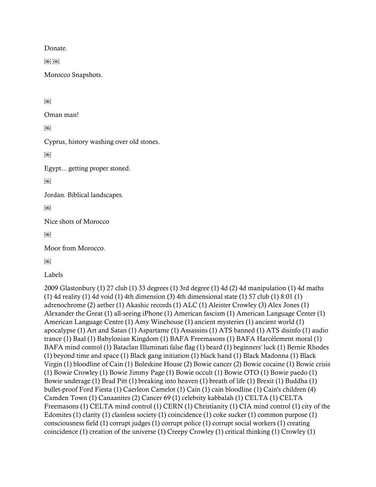Donate.

 $OBJ$   $OBJ$ 

Morocco Snapshots.

 $O\overline{B}$ 

Oman man!

 $OBD$ 

Cyprus, history washing over old stones.

 $OBD$ 

Egypt... getting proper stoned.

 $OBJ$ 

Jordan. Biblical landscapes.

OBJ

Nice shots of Morocco

 $[OB]$ 

Moor from Morocco.

 $O\overline{B}$ 

Labels

2009 Glastonbury (1) 27 club (1) 33 degrees (1) 3rd degree (1) 4d (2) 4d manipulation (1) 4d maths (1) 4d reality (1) 4d void (1) 4th dimension (3) 4th dimensional state (1) 57 club (1) 8:01 (1) adrenochrome (2) aether (1) Akashic records (1) ALC (1) Aleister Crowley (3) Alex Jones (1) Alexander the Great (1) all-seeing iPhone (1) American fascism (1) American Language Center (1) American Language Centre (1) Amy Winehouse (1) ancient mysteries (1) ancient world (1) apocalypse (1) Art and Satan (1) Aspartame (1) Assassins (1) ATS banned (1) ATS disinfo (1) audio trance (1) Baal (1) Babylonian Kingdom (1) BAFA Freemasons (1) BAFA Harcèlement moral (1) BAFA mind control (1) Bataclan Illuminati false flag (1) beard (1) beginners' luck (1) Bernie Rhodes (1) beyond time and space (1) Black gang initiation (1) black hand (1) Black Madonna (1) Black Virgin (1) bloodline of Cain (1) Boleskine House (2) Bowie cancer (2) Bowie cocaine (1) Bowie crisis (1) Bowie Crowley (1) Bowie Jimmy Page (1) Bowie occult (1) Bowie OTO (1) Bowie paedo (1) Bowie underage (1) Brad Pitt (1) breaking into heaven (1) breath of life (1) Brexit (1) Buddha (1) bullet-proof Ford Fiesta (1) Caerleon Camelot (1) Cain (1) cain bloodline (1) Cain's children (4) Camden Town (1) Canaanites (2) Cancer 69 (1) celebrity kabbalah (1) CELTA (1) CELTA Freemasons (1) CELTA mind control (1) CERN (1) Christianity (1) CIA mind control (1) city of the Edomites (1) clarity (1) classless society (1) coincidence (1) coke sucker (1) common purpose (1) consciousness field (1) corrupt judges (1) corrupt police (1) corrupt social workers (1) creating coincidence (1) creation of the universe (1) Creepy Crowley (1) critical thinking (1) Crowley (1)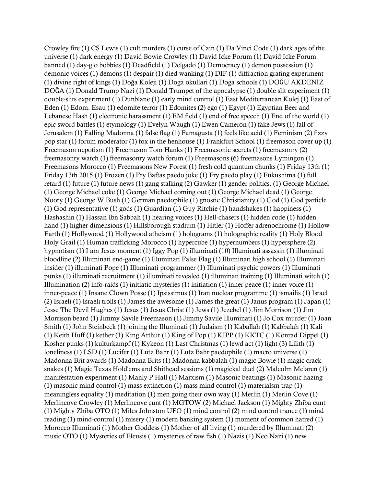Crowley fire (1) CS Lewis (1) cult murders (1) curse of Cain (1) Da Vinci Code (1) dark ages of the universe (1) dark energy (1) David Bowie Crowley (1) David Icke Forum (1) David Icke Forum banned (1) day-glo bobbies (1) Deadfield (1) Delgado (1) Democracy (1) demon possession (1) demonic voices (1) demons (1) despair (1) died wanking (1) DIF (1) diffraction grating experiment (1) divine right of kings (1) Doğa Koleji (1) Doga okullari (1) Doga schools (1) DOĞU AKDENİZ DOĞA (1) Donald Trump Nazi (1) Donald Trumpet of the apocalypse (1) double slit experiment (1) double-slits experiment (1) Dunblane (1) early mind control (1) East Mediterranean Kolej (1) East of Eden (1) Edom. Esau (1) edomite terror (1) Edomites (2) ego (1) Egypt (1) Egyptian Beer and Lebanese Hash (1) electronic harassment (1) EM field (1) end of free speech (1) End of the world (1) epic sword battles (1) etymology (1) Evelyn Waugh (1) Ewen Cameron (1) fake Jews (1) fall of Jerusalem (1) Falling Madonna (1) false flag (1) Famagusta (1) feels like acid (1) Feminism (2) fizzy pop star (1) forum moderator (1) fox in the henhouse (1) Frankfurt School (1) freemason cover up (1) Freemason nepotism (1) Freemason Tom Hanks (1) Freemasonic secrets (1) freemasonry (2) freemasonry watch (1) freemasonry watch forum (1) Freemasons (6) freemasons Lymingon (1) Freemasons Morocco (1) Freemasons New Forest (1) fresh cold quantum chunks (1) Friday 13th (1) Friday 13th 2015 (1) Frozen (1) Fry Baftas paedo joke (1) Fry paedo play (1) Fukushima (1) full retard (1) future (1) future news (1) gang stalking (2) Gawker (1) gender politics. (1) George Michael (1) George Michael coke (1) George Michael coming out (1) George Michael dead (1) George Noory (1) George W Bush (1) German paedophile (1) gnostic Christianity (1) God (1) God particle (1) God representative (1) gods (1) Guardian (1) Guy Ritchie (1) handshakes (1) happiness (1) Hashashin (1) Hassan Ibn Sabbah (1) hearing voices (1) Hell-chasers (1) hidden code (1) hidden hand (1) higher dimensions (1) Hillsborough stadium (1) Hitler (1) Hoffer adrenochrome (1) Hollow-Earth (1) Hollywood (1) Hollywood atheism (1) holograms (1) holographic reality (1) Holy Blood Holy Grail (1) Human trafficking Morocco (1) hypercube (1) hypernumbers (1) hypersphere (2) hypnotism (1) I am Jesus moment (1) Iggy Pop (1) illuminati (10) Illuminati assassin (1) illuminati bloodline (2) Illuminati end-game (1) Illuminati False Flag (1) Illuminati high school (1) Illuminati insider (1) illuminati Pope (1) Illuminati programmer (1) Illuminati psychic powers (1) Illuminati punks (1) illuminati recruitment (1) illuminati revealed (1) illuminati training (1) Illuminati witch (1) Illumination (2) info-raids (1) initiatic mysteries (1) initiation (1) inner peace (1) inner voice (1) inner-peace (1) Insane Clown Posse (1) Ipsissimus (1) Iran nuclear programme (1) ismailis (1) Israel (2) Israeli (1) Israeli trolls (1) James the awesome (1) James the great (1) Janus program (1) Japan (1) Jesse The Devil Hughes (1) Jesus (1) Jesus Christ (1) Jews (1) Jezebel (1) Jim Morrison (1) Jim Morrison beard (1) Jimmy Savile Freemason (1) Jimmy Savile Illuminati (1) Jo Cox murder (1) Joan Smith (1) John Steinbeck (1) joining the Illuminati (1) Judaism (1) Kaballah (1) Kabbalah (1) Kali (1) Keith Huff (1) kether (1) King Arthur (1) King of Pop (1) KIPP (1) KKTC (1) Konrad Dippel (1) Kosher punks (1) kulturkampf (1) Kykeon (1) Last Christmas (1) lewd act (1) light (3) Lilith (1) loneliness (1) LSD (1) Lucifer (1) Lutz Bahr (1) Lutz Bahr paedophile (1) macro universe (1) Madonna Brit awards (1) Madonna Brits (1) Madonna kabbalah (1) magic Bowie (1) magic crack snakes (1) Magic Texas Hold'ems and Shithead sessions (1) magickal duel (2) Malcolm Mclaren (1) manifestation experiment (1) Manly P Hall (1) Marxism (1) Masonic beatings (1) Masonic hazing (1) masonic mind control (1) mass extinction (1) mass mind control (1) materialsm trap (1) meaningless equality (1) meditation (1) men going their own way (1) Merlin (1) Merlin Cove (1) Merlincove Crowley (1) Merlincove cunt (1) MGTOW (2) Michael Jackson (1) Mighty Zhiba cunt (1) Mighty Zhiba OTO (1) Miles Johnston UFO (1) mind control (2) mind control trance (1) mind reading (1) mind-control (1) misery (1) modern banking system (1) moment of common hatred (1) Morocco Illuminati (1) Mother Goddess (1) Mother of all living (1) murdered by Illuminati (2) music OTO (1) Mysteries of Eleusis (1) mysteries of raw fish (1) Nazis (1) Neo Nazi (1) new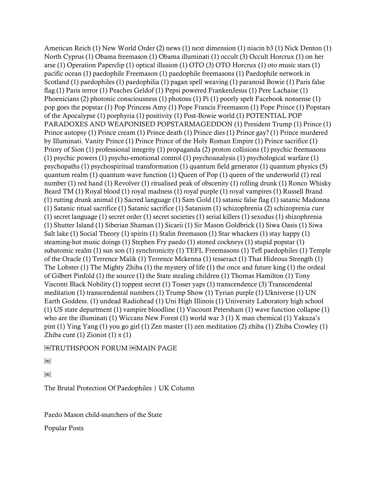American Reich (1) New World Order (2) news (1) next dimension (1) niacin b3 (1) Nick Denton (1) North Cyprus (1) Obama freemason (1) Obama illuminati (1) occult (3) Occult Horcrux (1) on her arse (1) Operation Paperclip (1) optical illusion (1) OTO (3) OTO Horcrux (1) oto music stars (1) pacific ocean (1) paedophile Freemason (1) paedophile freemasons (1) Paedophile network in Scotland (1) paedophiles (1) paedophilia (1) pagan spell weaving (1) paranoid Bowie (1) Paris false flag (1) Paris terror (1) Peaches Geldof (1) Pepsi powered FrankenJesus (1) Pere Lachaise (1) Phoenicians (2) photonic consciousness (1) photons (1) Pi (1) poorly spelt Facebook nonsense (1) pop goes the popstar (1) Pop Princess Amy (1) Pope Francis Freemason (1) Pope Prince (1) Popstars of the Apocalypse (1) porphyria (1) positivity (1) Post-Bowie world (1) POTENTIAL POP PARADOXES AND WEAPONISED POPSTARMAGEDDON (1) President Trump (1) Prince (1) Prince autopsy (1) Prince cream (1) Prince death (1) Prince dies (1) Prince gay? (1) Prince murdered by Illuminati. Vanity Prince (1) Prince Prince of the Holy Roman Empire (1) Prince sacrifice (1) Priory of Sion (1) professional integrity (1) propaganda (2) proton collisions (1) psychic freemasons (1) psychic powers (1) psycho-emotional control (1) psychoanalysis (1) psychological warfare (1) psychopaths (1) psychospiritual transformation (1) quantum field generator (1) quantum physics (5) quantum realm (1) quantum wave function (1) Queen of Pop (1) queen of the underworld (1) real number (1) red hand (1) Revolver (1) ritualised peak of obscenity (1) rolling drunk (1) Ronco Whisky Beard TM (1) Royal blood (1) royal madness (1) royal purple (1) royal vampires (1) Russell Brand (1) rutting drunk animal (1) Sacred language (1) Sam Gold (1) satanic false flag (1) satanic Madonna (1) Satanic ritual sacrifice (1) Satanic sacrifice (1) Satanism (1) schizophrenia (2) schizoprenia cure (1) secret language (1) secret order (1) secret societies (1) serial killers (1) sexodus (1) shizophrenia (1) Shutter Island (1) Siberian Shaman (1) Sicarii (1) Sir Mason Goldbrick (1) Siwa Oasis (1) Siwa Salt lake (1) Social Theory (1) spirits (1) Stalin freemason (1) Star whackers (1) stay happy (1) steaming-hot music doings (1) Stephen Fry paedo (1) stoned cockneys (1) stupid popstar (1) subatomic realm (1) sun son (1) synchronicity (1) TEFL Freemasons (1) Tefl paedophiles (1) Temple of the Oracle (1) Terrence Malik (1) Terrence Mckenna (1) tesseract (1) That Hideous Strength (1) The Lobster (1) The Mighty Zhiba (1) the mystery of life (1) the once and future king (1) the ordeal of Gilbert Pinfold (1) the source (1) the State stealing children (1) Thomas Hamilton (1) Tony Visconti Black Nobility (1) toppest secret (1) Tosser yaps (1) transcendence (3) Transcendental meditation (1) transcendental numbers (1) Trump Show (1) Tyrian purple (1) Ukniverse (1) UN Earth Goddess. (1) undead Radiohead (1) Uni High Illinois (1) University Laboratory high school (1) US state department (1) vampire bloodline (1) Viscount Petersham (1) wave function collapse (1) who are the illuminati (1) Wiccans New Forest (1) world war 3 (1) X man chemical (1) Yakuza's pint (1) Ying Yang (1) you go girl (1) Zen master (1) zen meditation (2) zhiba (1) Zhiba Crowley (1) Zhiba cunt (1) Zionist (1)  $\pi$  (1)

#### **MONTHISPOON FORUM MAIN PAGE**

 $OBJ$ 

 $[OB]$ 

The Brutal Protection Of Paedophiles | UK Column

Paedo Mason child-snatchers of the State

Popular Posts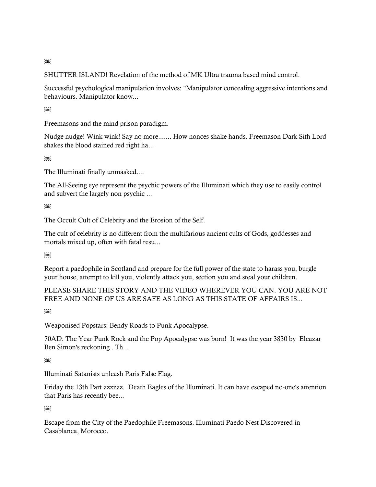$OBJ$ 

SHUTTER ISLAND! Revelation of the method of MK Ultra trauma based mind control.

Successful psychological manipulation involves: "Manipulator concealing aggressive intentions and behaviours. Manipulator know...

OBJ

Freemasons and the mind prison paradigm.

Nudge nudge! Wink wink! Say no more....... How nonces shake hands. Freemason Dark Sith Lord shakes the blood stained red right ha...

 $OBJ$ 

The Illuminati finally unmasked....

The All-Seeing eye represent the psychic powers of the Illuminati which they use to easily control and subvert the largely non psychic ...

 $OBD$ 

The Occult Cult of Celebrity and the Erosion of the Self.

The cult of celebrity is no different from the multifarious ancient cults of Gods, goddesses and mortals mixed up, often with fatal resu...

 $OBD$ 

Report a paedophile in Scotland and prepare for the full power of the state to harass you, burgle your house, attempt to kill you, violently attack you, section you and steal your children.

PLEASE SHARE THIS STORY AND THE VIDEO WHEREVER YOU CAN. YOU ARE NOT FREE AND NONE OF US ARE SAFE AS LONG AS THIS STATE OF AFFAIRS IS...

 $[OB]$ 

Weaponised Popstars: Bendy Roads to Punk Apocalypse.

70AD: The Year Punk Rock and the Pop Apocalypse was born! It was the year 3830 by Eleazar Ben Simon's reckoning . Th...

 $[OB]$ 

Illuminati Satanists unleash Paris False Flag.

Friday the 13th Part zzzzzz. Death Eagles of the Illuminati. It can have escaped no-one's attention that Paris has recently bee...

 $OBD$ 

Escape from the City of the Paedophile Freemasons. Illuminati Paedo Nest Discovered in Casablanca, Morocco.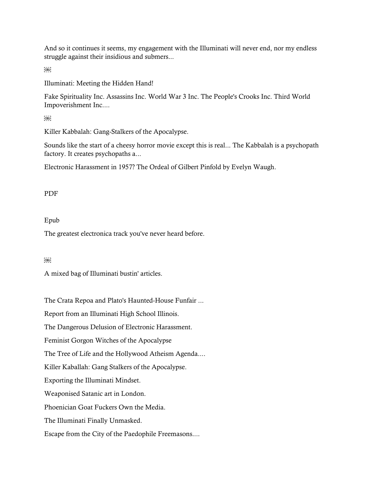And so it continues it seems, my engagement with the Illuminati will never end, nor my endless struggle against their insidious and submers...

 $[OB]$ 

Illuminati: Meeting the Hidden Hand!

Fake Spirituality Inc. Assassins Inc. World War 3 Inc. The People's Crooks Inc. Third World Impoverishment Inc....

 $OBD$ 

Killer Kabbalah: Gang-Stalkers of the Apocalypse.

Sounds like the start of a cheesy horror movie except this is real... The Kabbalah is a psychopath factory. It creates psychopaths a...

Electronic Harassment in 1957? The Ordeal of Gilbert Pinfold by Evelyn Waugh.

## PDF

## Epub

The greatest electronica track you've never heard before.

 $O\overline{B}$ 

A mixed bag of Illuminati bustin' articles.

The Crata Repoa and Plato's Haunted-House Funfair ...

Report from an Illuminati High School Illinois.

The Dangerous Delusion of Electronic Harassment.

Feminist Gorgon Witches of the Apocalypse

The Tree of Life and the Hollywood Atheism Agenda....

Killer Kaballah: Gang Stalkers of the Apocalypse.

Exporting the Illuminati Mindset.

Weaponised Satanic art in London.

Phoenician Goat Fuckers Own the Media.

The Illuminati Finally Unmasked.

Escape from the City of the Paedophile Freemasons....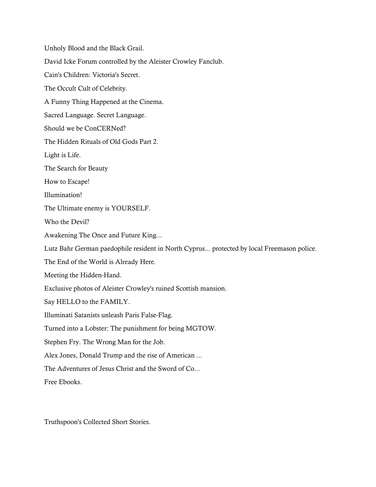Unholy Blood and the Black Grail. David Icke Forum controlled by the Aleister Crowley Fanclub. Cain's Children: Victoria's Secret. The Occult Cult of Celebrity. A Funny Thing Happened at the Cinema. Sacred Language. Secret Language. Should we be ConCERNed? The Hidden Rituals of Old Gods Part 2. Light is Life. The Search for Beauty How to Escape! Illumination! The Ultimate enemy is YOURSELF. Who the Devil? Awakening The Once and Future King... Lutz Bahr German paedophile resident in North Cyprus... protected by local Freemason police. The End of the World is Already Here. Meeting the Hidden-Hand. Exclusive photos of Aleister Crowley's ruined Scottish mansion. Say HELLO to the FAMILY. Illuminati Satanists unleash Paris False-Flag. Turned into a Lobster: The punishment for being MGTOW. Stephen Fry. The Wrong Man for the Job. Alex Jones, Donald Trump and the rise of American ... The Adventures of Jesus Christ and the Sword of Co... Free Ebooks.

Truthspoon's Collected Short Stories.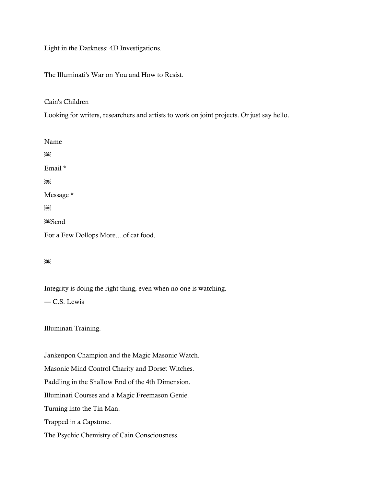Light in the Darkness: 4D Investigations.

The Illuminati's War on You and How to Resist.

Cain's Children

Looking for writers, researchers and artists to work on joint projects. Or just say hello.

Name  $[OB]$ Email \*  $[OB]$ Message \*  $[OB]$ Send For a Few Dollops More....of cat food.

 $OBJ$ 

Integrity is doing the right thing, even when no one is watching.

― C.S. Lewis

Illuminati Training.

Jankenpon Champion and the Magic Masonic Watch. Masonic Mind Control Charity and Dorset Witches. Paddling in the Shallow End of the 4th Dimension. Illuminati Courses and a Magic Freemason Genie.

Turning into the Tin Man.

Trapped in a Capstone.

The Psychic Chemistry of Cain Consciousness.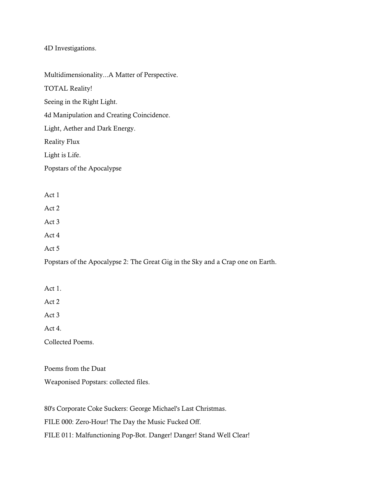4D Investigations.

Multidimensionality...A Matter of Perspective.

TOTAL Reality!

Seeing in the Right Light.

4d Manipulation and Creating Coincidence.

Light, Aether and Dark Energy.

Reality Flux

Light is Life.

Popstars of the Apocalypse

Act 1

Act 2

Act 3

Act 4

Act 5

Popstars of the Apocalypse 2: The Great Gig in the Sky and a Crap one on Earth.

Act 1.

Act 2

Act 3

Act  $4$ 

Collected Poems.

Poems from the Duat

Weaponised Popstars: collected files.

80's Corporate Coke Suckers: George Michael's Last Christmas.

FILE 000: Zero-Hour! The Day the Music Fucked Off.

FILE 011: Malfunctioning Pop-Bot. Danger! Danger! Stand Well Clear!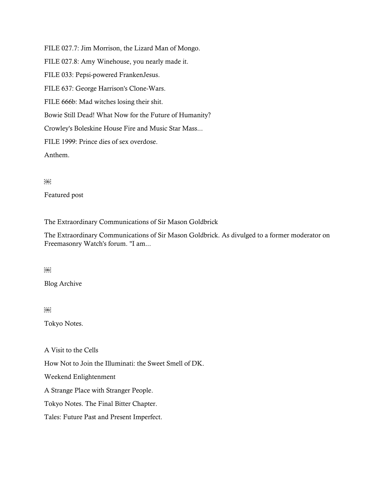FILE 027.7: Jim Morrison, the Lizard Man of Mongo.

FILE 027.8: Amy Winehouse, you nearly made it.

FILE 033: Pepsi-powered FrankenJesus.

FILE 637: George Harrison's Clone-Wars.

FILE 666b: Mad witches losing their shit.

Bowie Still Dead! What Now for the Future of Humanity?

Crowley's Boleskine House Fire and Music Star Mass...

FILE 1999: Prince dies of sex overdose.

Anthem.

 $O\overline{B}$ 

Featured post

The Extraordinary Communications of Sir Mason Goldbrick

The Extraordinary Communications of Sir Mason Goldbrick. As divulged to a former moderator on Freemasonry Watch's forum. "I am...

 $[OB]$ 

Blog Archive

 $[OB]$ 

Tokyo Notes.

A Visit to the Cells

How Not to Join the Illuminati: the Sweet Smell of DK.

Weekend Enlightenment

A Strange Place with Stranger People.

Tokyo Notes. The Final Bitter Chapter.

Tales: Future Past and Present Imperfect.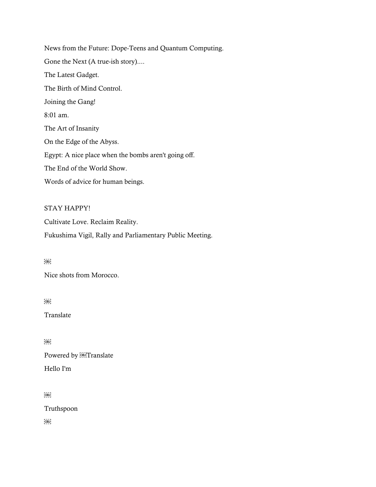News from the Future: Dope-Teens and Quantum Computing. Gone the Next (A true-ish story).... The Latest Gadget. The Birth of Mind Control. Joining the Gang! 8:01 am. The Art of Insanity On the Edge of the Abyss. Egypt: A nice place when the bombs aren't going off. The End of the World Show. Words of advice for human beings.

#### STAY HAPPY!

Cultivate Love. Reclaim Reality.

Fukushima Vigil, Rally and Parliamentary Public Meeting.

 $[OB]$ 

Nice shots from Morocco.

 $\overline{\text{OBI}}$ 

Translate

 $\overline{\text{OBI}}$ 

Powered by **EDT** ranslate

Hello I'm

 $[OBJ]$ 

Truthspoon

 $\overline{\text{OBI}}$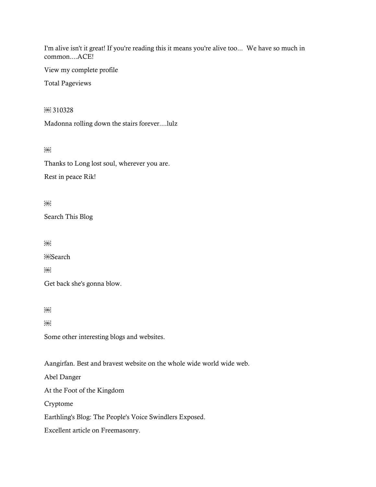I'm alive isn't it great! If you're reading this it means you're alive too... We have so much in common....ACE!

View my complete profile

Total Pageviews

310328

Madonna rolling down the stairs forever....lulz

 $[OBJ]$ 

Thanks to Long lost soul, wherever you are.

Rest in peace Rik!

 $O<sub>BJ</sub>$ 

Search This Blog

 $[OB]$ 

Search

 $[OB]$ 

Get back she's gonna blow.

 $OBJ$ 

 $[OB]$ 

Some other interesting blogs and websites.

Aangirfan. Best and bravest website on the whole wide world wide web.

Abel Danger

At the Foot of the Kingdom

Cryptome

Earthling's Blog: The People's Voice Swindlers Exposed.

Excellent article on Freemasonry.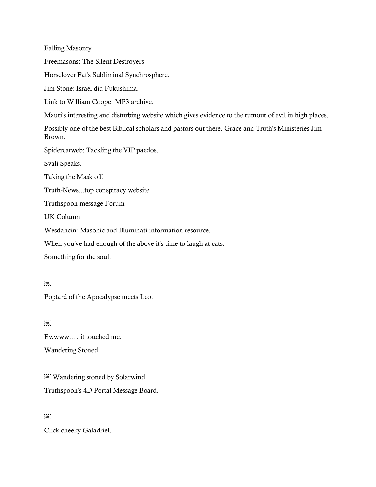Falling Masonry

Freemasons: The Silent Destroyers

Horselover Fat's Subliminal Synchrosphere.

Jim Stone: Israel did Fukushima.

Link to William Cooper MP3 archive.

Mauri's interesting and disturbing website which gives evidence to the rumour of evil in high places.

Possibly one of the best Biblical scholars and pastors out there. Grace and Truth's Ministeries Jim Brown.

Spidercatweb: Tackling the VIP paedos.

Svali Speaks.

Taking the Mask off.

Truth-News...top conspiracy website.

Truthspoon message Forum

UK Column

Wesdancin: Masonic and Illuminati information resource.

When you've had enough of the above it's time to laugh at cats.

Something for the soul.

 $[OB]$ 

Poptard of the Apocalypse meets Leo.

 $OBD$ 

Ewwww..... it touched me.

Wandering Stoned

Wandering stoned by Solarwind

Truthspoon's 4D Portal Message Board.

 $O<sub>BJ</sub>$ 

Click cheeky Galadriel.